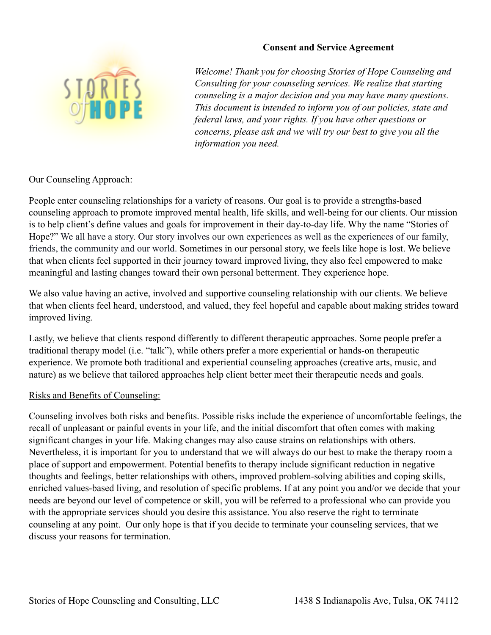

### **Consent and Service Agreement**

*Welcome! Thank you for choosing Stories of Hope Counseling and Consulting for your counseling services. We realize that starting counseling is a major decision and you may have many questions. This document is intended to inform you of our policies, state and federal laws, and your rights. If you have other questions or concerns, please ask and we will try our best to give you all the information you need.* 

### Our Counseling Approach:

People enter counseling relationships for a variety of reasons. Our goal is to provide a strengths-based counseling approach to promote improved mental health, life skills, and well-being for our clients. Our mission is to help client's define values and goals for improvement in their day-to-day life. Why the name "Stories of Hope?" We all have a story. Our story involves our own experiences as well as the experiences of our family, friends, the community and our world. Sometimes in our personal story, we feels like hope is lost. We believe that when clients feel supported in their journey toward improved living, they also feel empowered to make meaningful and lasting changes toward their own personal betterment. They experience hope.

We also value having an active, involved and supportive counseling relationship with our clients. We believe that when clients feel heard, understood, and valued, they feel hopeful and capable about making strides toward improved living.

Lastly, we believe that clients respond differently to different therapeutic approaches. Some people prefer a traditional therapy model (i.e. "talk"), while others prefer a more experiential or hands-on therapeutic experience. We promote both traditional and experiential counseling approaches (creative arts, music, and nature) as we believe that tailored approaches help client better meet their therapeutic needs and goals.

### Risks and Benefits of Counseling:

Counseling involves both risks and benefits. Possible risks include the experience of uncomfortable feelings, the recall of unpleasant or painful events in your life, and the initial discomfort that often comes with making significant changes in your life. Making changes may also cause strains on relationships with others. Nevertheless, it is important for you to understand that we will always do our best to make the therapy room a place of support and empowerment. Potential benefits to therapy include significant reduction in negative thoughts and feelings, better relationships with others, improved problem-solving abilities and coping skills, enriched values-based living, and resolution of specific problems. If at any point you and/or we decide that your needs are beyond our level of competence or skill, you will be referred to a professional who can provide you with the appropriate services should you desire this assistance. You also reserve the right to terminate counseling at any point. Our only hope is that if you decide to terminate your counseling services, that we discuss your reasons for termination.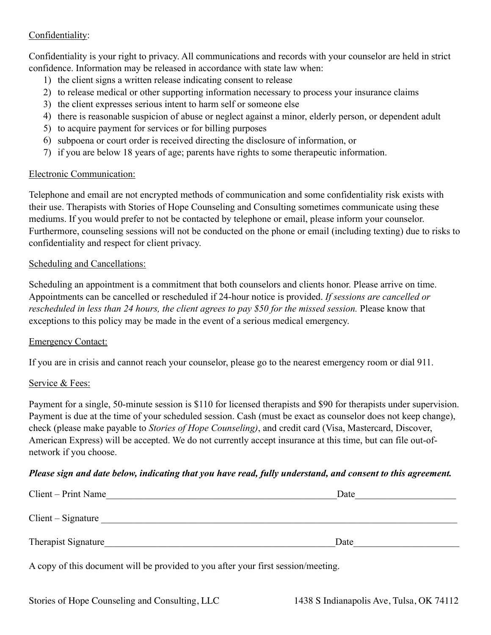# Confidentiality:

Confidentiality is your right to privacy. All communications and records with your counselor are held in strict confidence. Information may be released in accordance with state law when:

- 1) the client signs a written release indicating consent to release
- 2) to release medical or other supporting information necessary to process your insurance claims
- 3) the client expresses serious intent to harm self or someone else
- 4) there is reasonable suspicion of abuse or neglect against a minor, elderly person, or dependent adult
- 5) to acquire payment for services or for billing purposes
- 6) subpoena or court order is received directing the disclosure of information, or
- 7) if you are below 18 years of age; parents have rights to some therapeutic information.

### Electronic Communication:

Telephone and email are not encrypted methods of communication and some confidentiality risk exists with their use. Therapists with Stories of Hope Counseling and Consulting sometimes communicate using these mediums. If you would prefer to not be contacted by telephone or email, please inform your counselor. Furthermore, counseling sessions will not be conducted on the phone or email (including texting) due to risks to confidentiality and respect for client privacy.

### Scheduling and Cancellations:

Scheduling an appointment is a commitment that both counselors and clients honor. Please arrive on time. Appointments can be cancelled or rescheduled if 24-hour notice is provided. *If sessions are cancelled or rescheduled in less than 24 hours, the client agrees to pay \$50 for the missed session.* Please know that exceptions to this policy may be made in the event of a serious medical emergency.

### Emergency Contact:

If you are in crisis and cannot reach your counselor, please go to the nearest emergency room or dial 911.

### Service & Fees:

Payment for a single, 50-minute session is \$110 for licensed therapists and \$90 for therapists under supervision. Payment is due at the time of your scheduled session. Cash (must be exact as counselor does not keep change), check (please make payable to *Stories of Hope Counseling)*, and credit card (Visa, Mastercard, Discover, American Express) will be accepted. We do not currently accept insurance at this time, but can file out-ofnetwork if you choose.

## *Please sign and date below, indicating that you have read, fully understand, and consent to this agreement.*

| Client – Print Name | Date |
|---------------------|------|
| $Client-Signature$  |      |
| Therapist Signature | Date |

A copy of this document will be provided to you after your first session/meeting.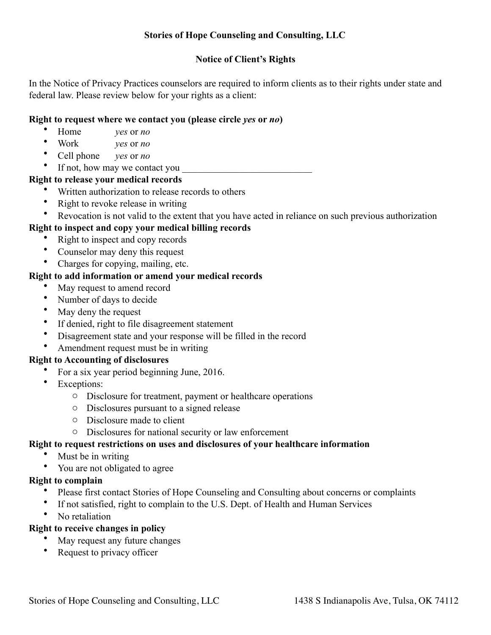# **Stories of Hope Counseling and Consulting, LLC**

# **Notice of Client's Rights**

In the Notice of Privacy Practices counselors are required to inform clients as to their rights under state and federal law. Please review below for your rights as a client:

## **Right to request where we contact you (please circle** *yes* **or** *no***)**

- Home *yes* or *no*
- Work *yes* or *no*
- Cell phone *yes* or *no*
- If not, how may we contact you

# **Right to release your medical records**

- Written authorization to release records to others
- Right to revoke release in writing
- Revocation is not valid to the extent that you have acted in reliance on such previous authorization

# **Right to inspect and copy your medical billing records**

- Right to inspect and copy records
- Counselor may deny this request
- Charges for copying, mailing, etc.

# **Right to add information or amend your medical records**

- May request to amend record
- Number of days to decide
- May deny the request
- If denied, right to file disagreement statement
- Disagreement state and your response will be filled in the record
- Amendment request must be in writing

### **Right to Accounting of disclosures**

- For a six year period beginning June, 2016.
- Exceptions:
	- o Disclosure for treatment, payment or healthcare operations
	- o Disclosures pursuant to a signed release
	- o Disclosure made to client
	- o Disclosures for national security or law enforcement

## **Right to request restrictions on uses and disclosures of your healthcare information**

- Must be in writing
- You are not obligated to agree

# **Right to complain**

- Please first contact Stories of Hope Counseling and Consulting about concerns or complaints
- If not satisfied, right to complain to the U.S. Dept. of Health and Human Services
- No retaliation

# **Right to receive changes in policy**

- May request any future changes
- Request to privacy officer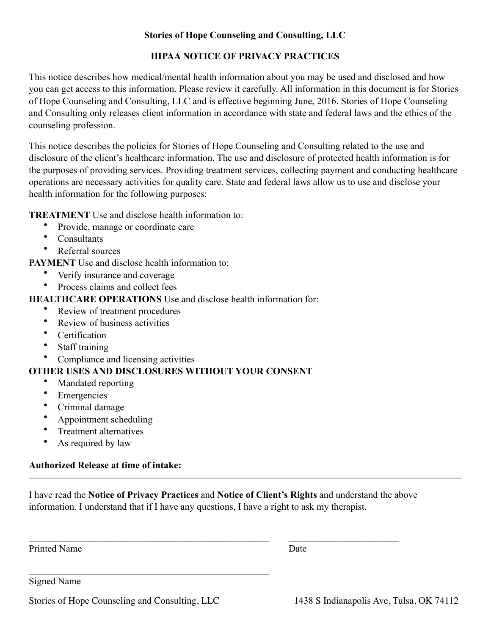# **Stories of Hope Counseling and Consulting, LLC**

# **HIPAA NOTICE OF PRIVACY PRACTICES**

This notice describes how medical/mental health information about you may be used and disclosed and how you can get access to this information. Please review it carefully. All information in this document is for Stories of Hope Counseling and Consulting, LLC and is effective beginning June, 2016. Stories of Hope Counseling and Consulting only releases client information in accordance with state and federal laws and the ethics of the counseling profession.

This notice describes the policies for Stories of Hope Counseling and Consulting related to the use and disclosure of the client's healthcare information. The use and disclosure of protected health information is for the purposes of providing services. Providing treatment services, collecting payment and conducting healthcare operations are necessary activities for quality care. State and federal laws allow us to use and disclose your health information for the following purposes:

**TREATMENT** Use and disclose health information to:

- Provide, manage or coordinate care
- **Consultants**
- Referral sources

**PAYMENT** Use and disclose health information to:

- Verify insurance and coverage
- Process claims and collect fees

# **HEALTHCARE OPERATIONS** Use and disclose health information for:

- Review of treatment procedures
- Review of business activities
- Certification
- Staff training
- Compliance and licensing activities

# **OTHER USES AND DISCLOSURES WITHOUT YOUR CONSENT**

- Mandated reporting
- **Emergencies**
- Criminal damage
- Appointment scheduling
- Treatment alternatives
- As required by law

#### **Authorized Release at time of intake:**   $\mathcal{L}_\mathcal{L} = \mathcal{L}_\mathcal{L}$

I have read the **Notice of Privacy Practices** and **Notice of Client's Rights** and understand the above information. I understand that if I have any questions, I have a right to ask my therapist.

 $\mathcal{L}_\text{max} = \frac{1}{2} \sum_{i=1}^n \mathcal{L}_\text{max}(\mathbf{z}_i - \mathbf{z}_i)$ 

Printed Name Date

Signed Name

Stories of Hope Counseling and Consulting, LLC 1438 S Indianapolis Ave, Tulsa, OK 74112

 $\mathcal{L}_\text{max}$  , and the set of the set of the set of the set of the set of the set of the set of the set of the set of the set of the set of the set of the set of the set of the set of the set of the set of the set of the